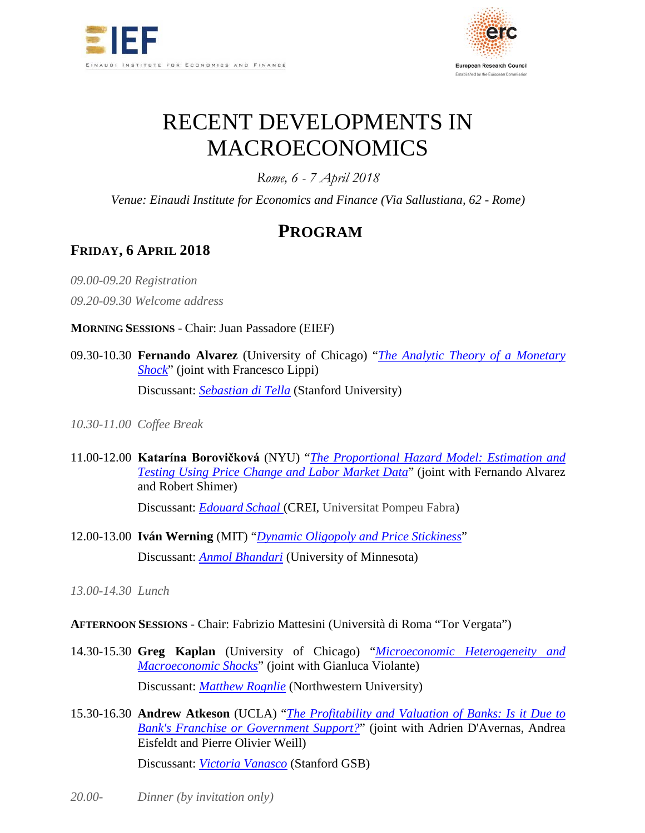



# RECENT DEVELOPMENTS IN MACROECONOMICS

*Rome, 6 - 7 April 2018*

*Venue: Einaudi Institute for Economics and Finance (Via Sallustiana, 62 - Rome)*

# **PROGRAM**

## **FRIDAY, 6 APRIL 2018**

*09.00-09.20 Registration*

*09.20-09.30 Welcome address*

**MORNING SESSIONS** - Chair: Juan Passadore (EIEF)

09.30-10.30 **Fernando Alvarez** (University of Chicago) "*[The Analytic Theory of a Monetary](https://www.dropbox.com/s/tymn9ol7n3igqz1/Alvarez.pdf?dl=0)  [Shock](https://www.dropbox.com/s/tymn9ol7n3igqz1/Alvarez.pdf?dl=0)*" (joint with Francesco Lippi)

Discussant: *[Sebastian di Tella](https://www.dropbox.com/s/lntspv6jwkzlonp/Di%20Tella_discussion%20Alvarez.pdf?dl=0)* (Stanford University)

*10.30-11.00 Coffee Break*

- 11.00-12.00 **Katarína Borovičková** (NYU) "*[The Proportional Hazard Model: Estimation and](https://www.dropbox.com/s/9mwfg211jqmhqvy/Borovickova%27.pdf?dl=0)  [Testing Using Price Change and Labor Market Data](https://www.dropbox.com/s/9mwfg211jqmhqvy/Borovickova%27.pdf?dl=0)*" (joint with Fernando Alvarez and Robert Shimer) Discussant: *[Edouard](https://www.dropbox.com/s/zw1685vpdh7gz3s/Schaal_discussion%20Borovickova.pdf?dl=0) Schaal* (CREI, Universitat Pompeu Fabra)
- 12.00-13.00 **Iván Werning** (MIT) "*[Dynamic Oligopoly and Price Stickiness](https://www.dropbox.com/s/rvyuk0i4my5f09o/Werning.pdf?dl=0)*" Discussant: *[Anmol Bhandari](https://www.dropbox.com/s/15dind3q8fihrdj/Bhandari_discussion%20Werning.pdf?dl=0)* (University of Minnesota)

*13.00-14.30 Lunch*

#### **AFTERNOON SESSIONS** - Chair: Fabrizio Mattesini (Università di Roma "Tor Vergata")

- 14.30-15.30 **Greg Kaplan** (University of Chicago) "*[Microeconomic Heterogeneity and](https://www.dropbox.com/s/q8bqj07abbco63h/Kaplan.pdf?dl=0)  [Macroeconomic Shocks](https://www.dropbox.com/s/q8bqj07abbco63h/Kaplan.pdf?dl=0)*" (joint with Gianluca Violante) Discussant: *[Matthew](https://www.dropbox.com/s/cupwne7fs4odrca/Rognlie_discussion%20Kaplan.pdf?dl=0) Rognlie* (Northwestern University)
- 15.30-16.30 **Andrew Atkeson** (UCLA) "*[The Profitability and Valuation of Banks: Is it Due to](https://www.dropbox.com/s/efprkkulwjtjsjt/Atkeson.pdf?dl=0)  [Bank's Franchise or Government Support?](https://www.dropbox.com/s/efprkkulwjtjsjt/Atkeson.pdf?dl=0)*" (joint with Adrien D'Avernas, Andrea Eisfeldt and Pierre Olivier Weill)

Discussant: *[Victoria Vanasco](https://www.dropbox.com/s/4twtabwelctlkld/Vanasco_discussion%20Atkeson.pptx?dl=0)* (Stanford GSB)

*20.00- Dinner (by invitation only)*